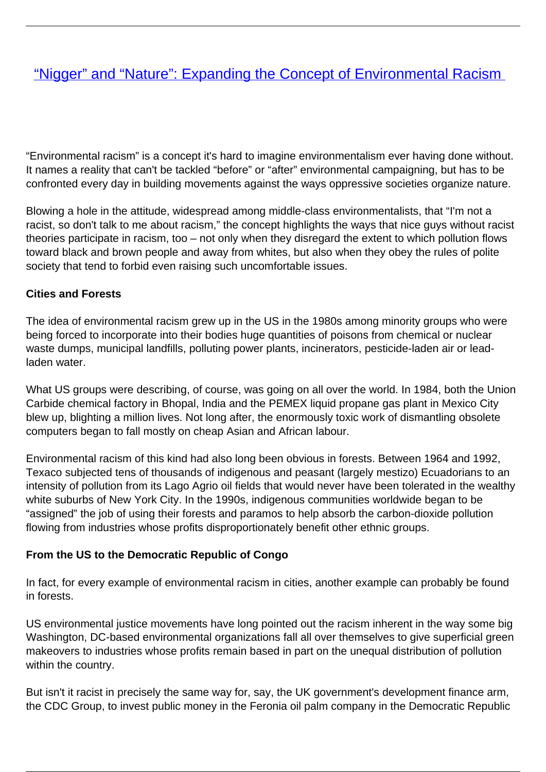# ["Nigger" and "Nature": Expanding the Concept of Environmental Racism](/bulletin-articles/nigger-and-nature-expanding-the-concept-of-environmental-racism)

"Environmental racism" is a concept it's hard to imagine environmentalism ever having done without. It names a reality that can't be tackled "before" or "after" environmental campaigning, but has to be confronted every day in building movements against the ways oppressive societies organize nature.

Blowing a hole in the attitude, widespread among middle-class environmentalists, that "I'm not a racist, so don't talk to me about racism," the concept highlights the ways that nice guys without racist theories participate in racism, too – not only when they disregard the extent to which pollution flows toward black and brown people and away from whites, but also when they obey the rules of polite society that tend to forbid even raising such uncomfortable issues.

#### **Cities and Forests**

The idea of environmental racism grew up in the US in the 1980s among minority groups who were being forced to incorporate into their bodies huge quantities of poisons from chemical or nuclear waste dumps, municipal landfills, polluting power plants, incinerators, pesticide-laden air or leadladen water.

What US groups were describing, of course, was going on all over the world. In 1984, both the Union Carbide chemical factory in Bhopal, India and the PEMEX liquid propane gas plant in Mexico City blew up, blighting a million lives. Not long after, the enormously toxic work of dismantling obsolete computers began to fall mostly on cheap Asian and African labour.

Environmental racism of this kind had also long been obvious in forests. Between 1964 and 1992, Texaco subjected tens of thousands of indigenous and peasant (largely mestizo) Ecuadorians to an intensity of pollution from its Lago Agrio oil fields that would never have been tolerated in the wealthy white suburbs of New York City. In the 1990s, indigenous communities worldwide began to be "assigned" the job of using their forests and paramos to help absorb the carbon-dioxide pollution flowing from industries whose profits disproportionately benefit other ethnic groups.

#### **From the US to the Democratic Republic of Congo**

In fact, for every example of environmental racism in cities, another example can probably be found in forests.

US environmental justice movements have long pointed out the racism inherent in the way some big Washington, DC-based environmental organizations fall all over themselves to give superficial green makeovers to industries whose profits remain based in part on the unequal distribution of pollution within the country.

But isn't it racist in precisely the same way for, say, the UK government's development finance arm, the CDC Group, to invest public money in the Feronia oil palm company in the Democratic Republic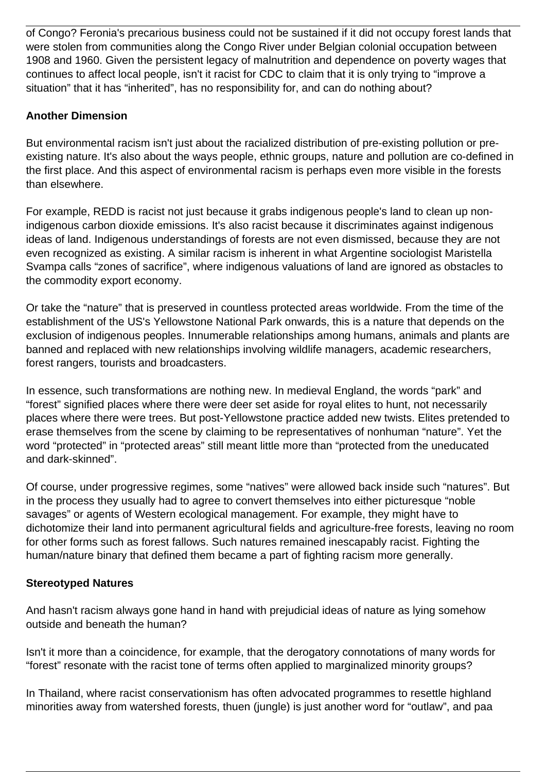of Congo? Feronia's precarious business could not be sustained if it did not occupy forest lands that were stolen from communities along the Congo River under Belgian colonial occupation between 1908 and 1960. Given the persistent legacy of malnutrition and dependence on poverty wages that continues to affect local people, isn't it racist for CDC to claim that it is only trying to "improve a situation" that it has "inherited", has no responsibility for, and can do nothing about?

## **Another Dimension**

But environmental racism isn't just about the racialized distribution of pre-existing pollution or preexisting nature. It's also about the ways people, ethnic groups, nature and pollution are co-defined in the first place. And this aspect of environmental racism is perhaps even more visible in the forests than elsewhere.

For example, REDD is racist not just because it grabs indigenous people's land to clean up nonindigenous carbon dioxide emissions. It's also racist because it discriminates against indigenous ideas of land. Indigenous understandings of forests are not even dismissed, because they are not even recognized as existing. A similar racism is inherent in what Argentine sociologist Maristella Svampa calls "zones of sacrifice", where indigenous valuations of land are ignored as obstacles to the commodity export economy.

Or take the "nature" that is preserved in countless protected areas worldwide. From the time of the establishment of the US's Yellowstone National Park onwards, this is a nature that depends on the exclusion of indigenous peoples. Innumerable relationships among humans, animals and plants are banned and replaced with new relationships involving wildlife managers, academic researchers, forest rangers, tourists and broadcasters.

In essence, such transformations are nothing new. In medieval England, the words "park" and "forest" signified places where there were deer set aside for royal elites to hunt, not necessarily places where there were trees. But post-Yellowstone practice added new twists. Elites pretended to erase themselves from the scene by claiming to be representatives of nonhuman "nature". Yet the word "protected" in "protected areas" still meant little more than "protected from the uneducated and dark-skinned".

Of course, under progressive regimes, some "natives" were allowed back inside such "natures". But in the process they usually had to agree to convert themselves into either picturesque "noble savages" or agents of Western ecological management. For example, they might have to dichotomize their land into permanent agricultural fields and agriculture-free forests, leaving no room for other forms such as forest fallows. Such natures remained inescapably racist. Fighting the human/nature binary that defined them became a part of fighting racism more generally.

#### **Stereotyped Natures**

And hasn't racism always gone hand in hand with prejudicial ideas of nature as lying somehow outside and beneath the human?

Isn't it more than a coincidence, for example, that the derogatory connotations of many words for "forest" resonate with the racist tone of terms often applied to marginalized minority groups?

In Thailand, where racist conservationism has often advocated programmes to resettle highland minorities away from watershed forests, thuen (jungle) is just another word for "outlaw", and paa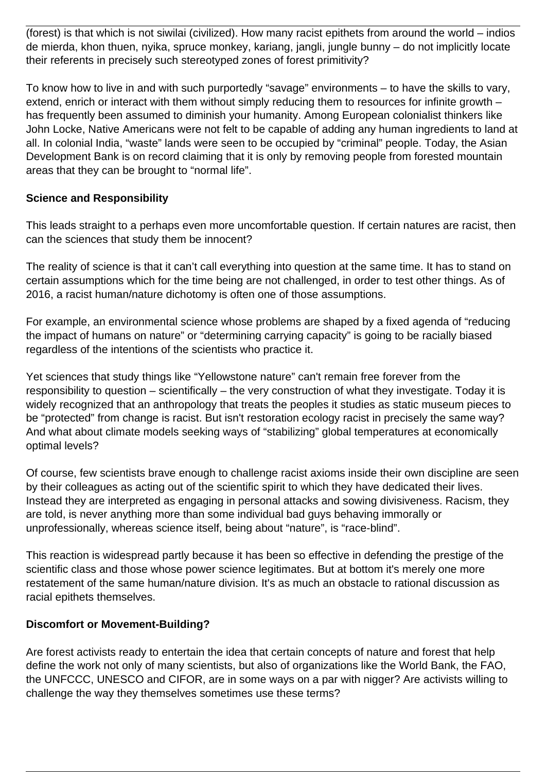(forest) is that which is not siwilai (civilized). How many racist epithets from around the world – indios de mierda, khon thuen, nyika, spruce monkey, kariang, jangli, jungle bunny – do not implicitly locate their referents in precisely such stereotyped zones of forest primitivity?

To know how to live in and with such purportedly "savage" environments – to have the skills to vary, extend, enrich or interact with them without simply reducing them to resources for infinite growth – has frequently been assumed to diminish your humanity. Among European colonialist thinkers like John Locke, Native Americans were not felt to be capable of adding any human ingredients to land at all. In colonial India, "waste" lands were seen to be occupied by "criminal" people. Today, the Asian Development Bank is on record claiming that it is only by removing people from forested mountain areas that they can be brought to "normal life".

### **Science and Responsibility**

This leads straight to a perhaps even more uncomfortable question. If certain natures are racist, then can the sciences that study them be innocent?

The reality of science is that it can't call everything into question at the same time. It has to stand on certain assumptions which for the time being are not challenged, in order to test other things. As of 2016, a racist human/nature dichotomy is often one of those assumptions.

For example, an environmental science whose problems are shaped by a fixed agenda of "reducing the impact of humans on nature" or "determining carrying capacity" is going to be racially biased regardless of the intentions of the scientists who practice it.

Yet sciences that study things like "Yellowstone nature" can't remain free forever from the responsibility to question – scientifically – the very construction of what they investigate. Today it is widely recognized that an anthropology that treats the peoples it studies as static museum pieces to be "protected" from change is racist. But isn't restoration ecology racist in precisely the same way? And what about climate models seeking ways of "stabilizing" global temperatures at economically optimal levels?

Of course, few scientists brave enough to challenge racist axioms inside their own discipline are seen by their colleagues as acting out of the scientific spirit to which they have dedicated their lives. Instead they are interpreted as engaging in personal attacks and sowing divisiveness. Racism, they are told, is never anything more than some individual bad guys behaving immorally or unprofessionally, whereas science itself, being about "nature", is "race-blind".

This reaction is widespread partly because it has been so effective in defending the prestige of the scientific class and those whose power science legitimates. But at bottom it's merely one more restatement of the same human/nature division. It's as much an obstacle to rational discussion as racial epithets themselves.

#### **Discomfort or Movement-Building?**

Are forest activists ready to entertain the idea that certain concepts of nature and forest that help define the work not only of many scientists, but also of organizations like the World Bank, the FAO, the UNFCCC, UNESCO and CIFOR, are in some ways on a par with nigger? Are activists willing to challenge the way they themselves sometimes use these terms?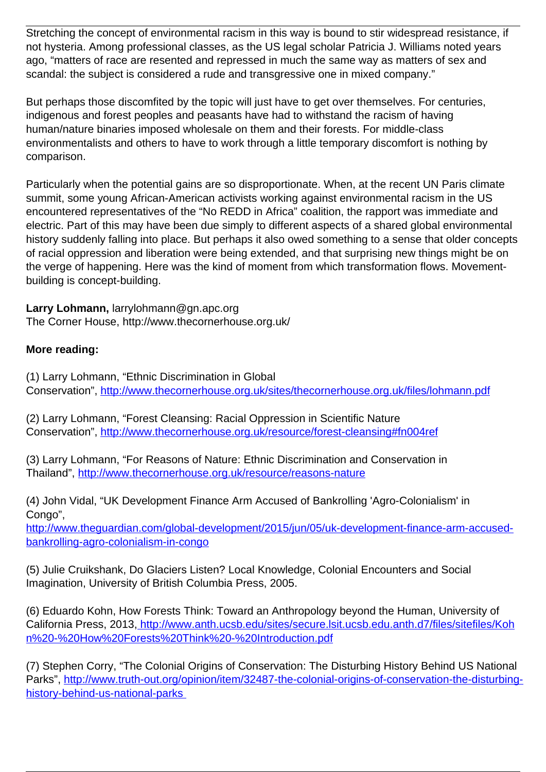Stretching the concept of environmental racism in this way is bound to stir widespread resistance, if not hysteria. Among professional classes, as the US legal scholar Patricia J. Williams noted years ago, "matters of race are resented and repressed in much the same way as matters of sex and scandal: the subject is considered a rude and transgressive one in mixed company."

But perhaps those discomfited by the topic will just have to get over themselves. For centuries, indigenous and forest peoples and peasants have had to withstand the racism of having human/nature binaries imposed wholesale on them and their forests. For middle-class environmentalists and others to have to work through a little temporary discomfort is nothing by comparison.

Particularly when the potential gains are so disproportionate. When, at the recent UN Paris climate summit, some young African-American activists working against environmental racism in the US encountered representatives of the "No REDD in Africa" coalition, the rapport was immediate and electric. Part of this may have been due simply to different aspects of a shared global environmental history suddenly falling into place. But perhaps it also owed something to a sense that older concepts of racial oppression and liberation were being extended, and that surprising new things might be on the verge of happening. Here was the kind of moment from which transformation flows. Movementbuilding is concept-building.

**Larry Lohmann,** larrylohmann@gn.apc.org The Corner House, http://www.thecornerhouse.org.uk/

## **More reading:**

(1) Larry Lohmann, "Ethnic Discrimination in Global Conservation", <http://www.thecornerhouse.org.uk/sites/thecornerhouse.org.uk/files/lohmann.pdf>

(2) Larry Lohmann, "Forest Cleansing: Racial Oppression in Scientific Nature Conservation", <http://www.thecornerhouse.org.uk/resource/forest-cleansing#fn004ref>

(3) Larry Lohmann, "For Reasons of Nature: Ethnic Discrimination and Conservation in Thailand",<http://www.thecornerhouse.org.uk/resource/reasons-nature>

(4) John Vidal, "UK Development Finance Arm Accused of Bankrolling 'Agro-Colonialism' in Congo",

[http://www.theguardian.com/global-development/2015/jun/05/uk-development-finance-arm-accused](https://www.theguardian.com/global-development/2015/jun/05/uk-development-finance-arm-accused-bankrolling-agro-colonialism-in-congo)[bankrolling-agro-colonialism-in-congo](https://www.theguardian.com/global-development/2015/jun/05/uk-development-finance-arm-accused-bankrolling-agro-colonialism-in-congo)

(5) Julie Cruikshank, Do Glaciers Listen? Local Knowledge, Colonial Encounters and Social Imagination, University of British Columbia Press, 2005.

(6) Eduardo Kohn, How Forests Think: Toward an Anthropology beyond the Human, University of California Press, 2013, [http://www.anth.ucsb.edu/sites/secure.lsit.ucsb.edu.anth.d7/files/sitefiles/Koh](http://www.anth.ucsb.edu/sites/secure.lsit.ucsb.edu.anth.d7/files/sitefiles/Kohn%20-%20How%20Forests%20Think%20-%20Introduction.pdf) [n%20-%20How%20Forests%20Think%20-%20Introduction.pdf](http://www.anth.ucsb.edu/sites/secure.lsit.ucsb.edu.anth.d7/files/sitefiles/Kohn%20-%20How%20Forests%20Think%20-%20Introduction.pdf)

(7) Stephen Corry, "The Colonial Origins of Conservation: The Disturbing History Behind US National Parks", [http://www.truth-out.org/opinion/item/32487-the-colonial-origins-of-conservation-the-disturbing](http://www.truth-out.org/opinion/item/32487-the-colonial-origins-of-conservation-the-disturbing-history-behind-us-national-parks)[history-behind-us-national-parks](http://www.truth-out.org/opinion/item/32487-the-colonial-origins-of-conservation-the-disturbing-history-behind-us-national-parks)